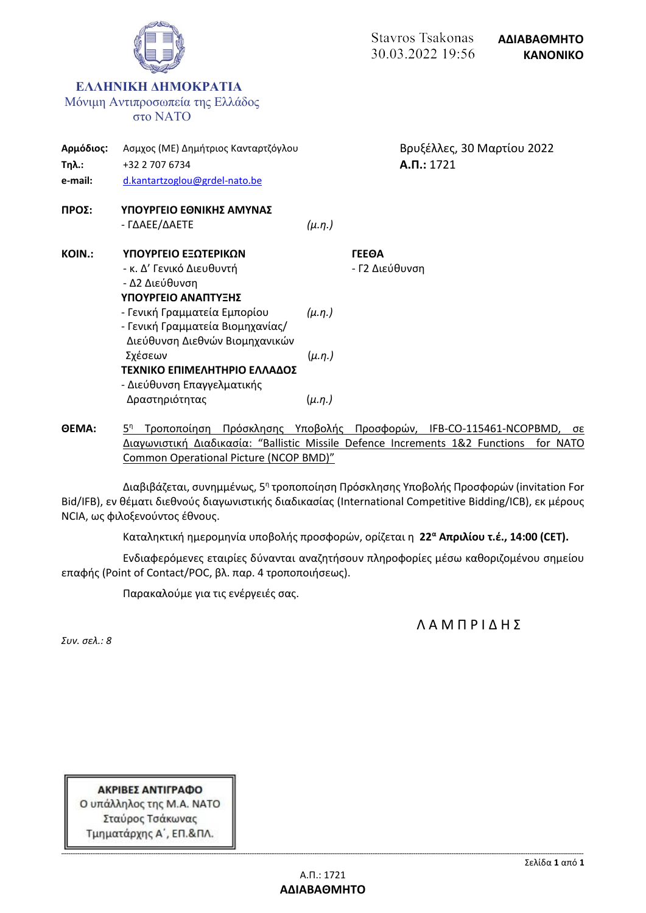

**ΘΕΜΑ:** 5 <sup>η</sup> Τροποποίηση Πρόσκλησης Υποβολής Προσφορών, IFB-CO-115461-NCOPBMD, σε Διαγωνιστική Διαδικασία: "Ballistic Missile Defence Increments 1&2 Functions for NATO Common Operational Picture (NCOP BMD)"

Διαβιβάζεται, συνημμένως, 5<sup>η</sup> τροποποίηση Πρόσκλησης Υποβολής Προσφορών (invitation For Bid/IFB), εν θέματι διεθνούς διαγωνιστικής διαδικασίας (International Competitive Bidding/ICB), εκ μέρους NCIA, ως φιλοξενούντος έθνους.

Καταληκτική ημερομηνία υποβολής προσφορών, ορίζεται η **22<sup>α</sup> Απριλίου τ.έ., 14:00 (CET).**

Ενδιαφερόμενες εταιρίες δύνανται αναζητήσουν πληροφορίες μέσω καθοριζομένου σημείου επαφής (Point of Contact/POC, βλ. παρ. 4 τροποποιήσεως).

Παρακαλούμε για τις ενέργειές σας.

Λ Α Μ Π Ρ Ι Δ Η Σ

*Συν. σελ.: 8*

ΑΚΡΙΒΕΣ ΑΝΤΙΓΡΑΦΟ Ο υπάλληλος της Μ.Α. ΝΑΤΟ Σταύρος Τσάκωνας Τμηματάρχης Α΄, ΕΠ.&ΠΛ.

**-------------------------------------------------------------------------------------------------------------------------------------------------------------------------------------------------------------------------------------------------------------------------------------------------**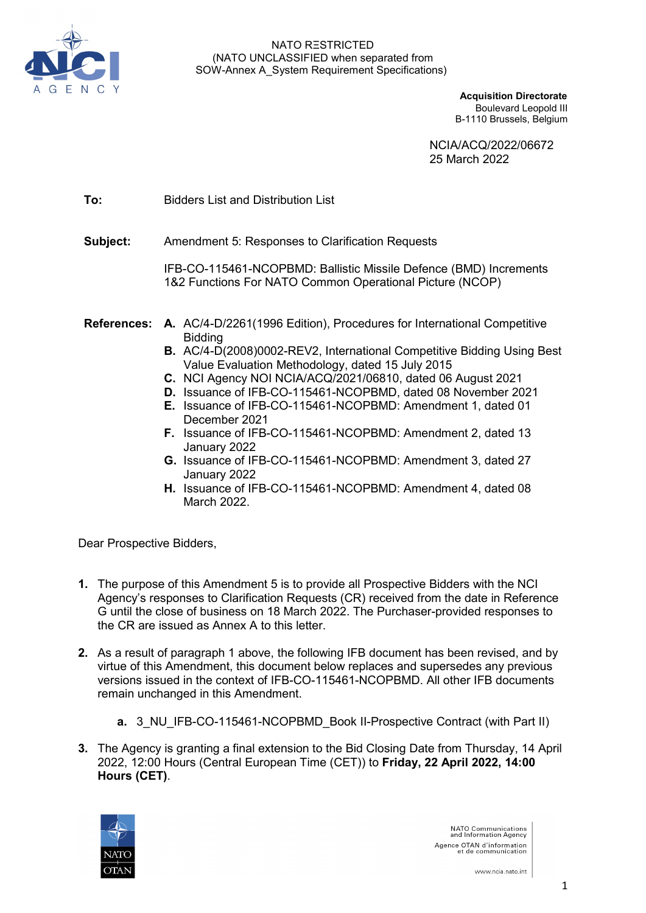

**Acquisition Directorate** Boulevard Leopold III B-1110 Brussels, Belgium

> NCIA/ACQ/2022/06672 25 March 2022

**To:** Bidders List and Distribution List

**Subject:** Amendment 5: Responses to Clarification Requests

IFB-CO-115461-NCOPBMD: Ballistic Missile Defence (BMD) Increments 1&2 Functions For NATO Common Operational Picture (NCOP)

- **References: A.** AC/4-D/2261(1996 Edition), Procedures for International Competitive Bidding
	- **B.** AC/4-D(2008)0002-REV2, International Competitive Bidding Using Best Value Evaluation Methodology, dated 15 July 2015
	- **C.** NCI Agency NOI NCIA/ACQ/2021/06810, dated 06 August 2021
	- **D.** Issuance of IFB-CO-115461-NCOPBMD, dated 08 November 2021
	- **E.** Issuance of IFB-CO-115461-NCOPBMD: Amendment 1, dated 01 December 2021
	- **F.** Issuance of IFB-CO-115461-NCOPBMD: Amendment 2, dated 13 January 2022
	- **G.** Issuance of IFB-CO-115461-NCOPBMD: Amendment 3, dated 27 January 2022
	- **H.** Issuance of IFB-CO-115461-NCOPBMD: Amendment 4, dated 08 March 2022.

Dear Prospective Bidders,

- **1.** The purpose of this Amendment 5 is to provide all Prospective Bidders with the NCI Agency's responses to Clarification Requests (CR) received from the date in Reference G until the close of business on 18 March 2022. The Purchaser-provided responses to the CR are issued as Annex A to this letter.
- **2.** As a result of paragraph 1 above, the following IFB document has been revised, and by virtue of this Amendment, this document below replaces and supersedes any previous versions issued in the context of IFB-CO-115461-NCOPBMD. All other IFB documents remain unchanged in this Amendment.
	- **a.** 3 NU IFB-CO-115461-NCOPBMD Book II-Prospective Contract (with Part II)
- **3.** The Agency is granting a final extension to the Bid Closing Date from Thursday, 14 April 2022, 12:00 Hours (Central European Time (CET)) to **Friday, 22 April 2022, 14:00 Hours (CET)**.



NATO Communications<br>and Information Agency Agence OTAN d'information<br>et de communication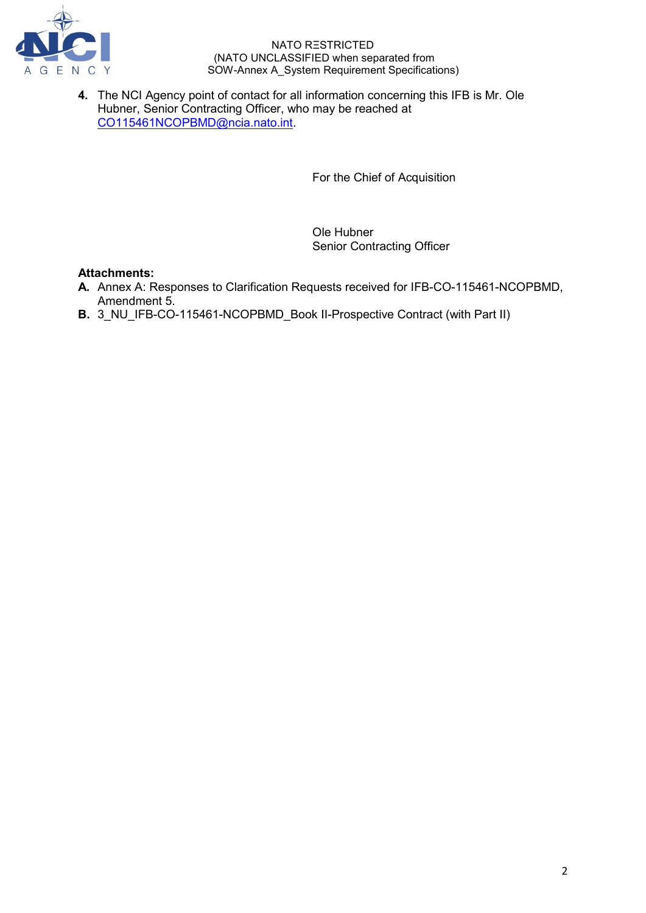

**4.** The NCI Agency point of contact for all information concerning this IFB is Mr. Ole Hubner, Senior Contracting Officer, who may be reached at [CO115461NCOPBMD@ncia.nato.int.](mailto:CO115461NCOPBMD@ncia.nato.int)

For the Chief of Acquisition

Ole Hubner Senior Contracting Officer

# **Attachments:**

- **A.** Annex A: Responses to Clarification Requests received for IFB-CO-115461-NCOPBMD, Amendment 5.
- **B.** 3 NU IFB-CO-115461-NCOPBMD Book II-Prospective Contract (with Part II)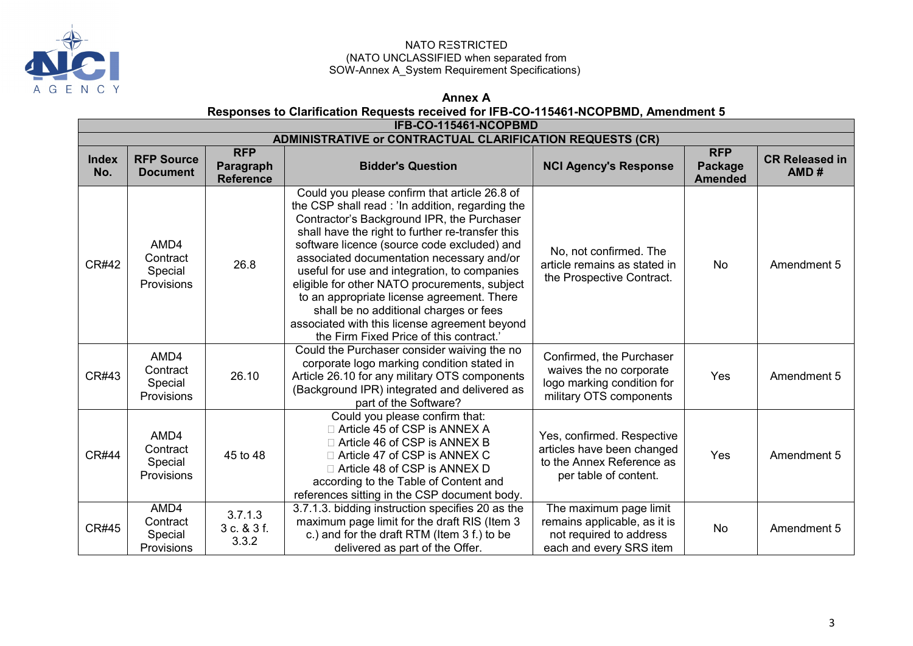

# **Annex A**

# **Responses to Clarification Requests received for IFB-CO-115461-NCOPBMD, Amendment 5**

|                                                                  | <b>IFB-CO-115461-NCOPBMD</b>              |                                             |                                                                                                                                                                                                                                                                                                                                                                                                                                                                                                                                                                                      |                                                                                                                |                                         |                               |  |  |
|------------------------------------------------------------------|-------------------------------------------|---------------------------------------------|--------------------------------------------------------------------------------------------------------------------------------------------------------------------------------------------------------------------------------------------------------------------------------------------------------------------------------------------------------------------------------------------------------------------------------------------------------------------------------------------------------------------------------------------------------------------------------------|----------------------------------------------------------------------------------------------------------------|-----------------------------------------|-------------------------------|--|--|
| <b>ADMINISTRATIVE or CONTRACTUAL CLARIFICATION REQUESTS (CR)</b> |                                           |                                             |                                                                                                                                                                                                                                                                                                                                                                                                                                                                                                                                                                                      |                                                                                                                |                                         |                               |  |  |
| <b>Index</b><br>No.                                              | <b>RFP Source</b><br><b>Document</b>      | <b>RFP</b><br>Paragraph<br><b>Reference</b> | <b>Bidder's Question</b>                                                                                                                                                                                                                                                                                                                                                                                                                                                                                                                                                             | <b>NCI Agency's Response</b>                                                                                   | <b>RFP</b><br>Package<br><b>Amended</b> | <b>CR Released in</b><br>AMD# |  |  |
| <b>CR#42</b>                                                     | AMD4<br>Contract<br>Special<br>Provisions | 26.8                                        | Could you please confirm that article 26.8 of<br>the CSP shall read : 'In addition, regarding the<br>Contractor's Background IPR, the Purchaser<br>shall have the right to further re-transfer this<br>software licence (source code excluded) and<br>associated documentation necessary and/or<br>useful for use and integration, to companies<br>eligible for other NATO procurements, subject<br>to an appropriate license agreement. There<br>shall be no additional charges or fees<br>associated with this license agreement beyond<br>the Firm Fixed Price of this contract.' | No, not confirmed. The<br>article remains as stated in<br>the Prospective Contract.                            | No                                      | Amendment 5                   |  |  |
| CR#43                                                            | AMD4<br>Contract<br>Special<br>Provisions | 26.10                                       | Could the Purchaser consider waiving the no<br>corporate logo marking condition stated in<br>Article 26.10 for any military OTS components<br>(Background IPR) integrated and delivered as<br>part of the Software?                                                                                                                                                                                                                                                                                                                                                                  | Confirmed, the Purchaser<br>waives the no corporate<br>logo marking condition for<br>military OTS components   | Yes                                     | Amendment 5                   |  |  |
| <b>CR#44</b>                                                     | AMD4<br>Contract<br>Special<br>Provisions | 45 to 48                                    | Could you please confirm that:<br>□ Article 45 of CSP is ANNEX A<br>□ Article 46 of CSP is ANNEX B<br>□ Article 47 of CSP is ANNEX C<br>□ Article 48 of CSP is ANNEX D<br>according to the Table of Content and<br>references sitting in the CSP document body.                                                                                                                                                                                                                                                                                                                      | Yes, confirmed. Respective<br>articles have been changed<br>to the Annex Reference as<br>per table of content. | Yes                                     | Amendment 5                   |  |  |
| <b>CR#45</b>                                                     | AMD4<br>Contract<br>Special<br>Provisions | 3.7.1.3<br>3 c. & 3 f.<br>3.3.2             | 3.7.1.3. bidding instruction specifies 20 as the<br>maximum page limit for the draft RIS (Item 3<br>c.) and for the draft RTM (Item 3 f.) to be<br>delivered as part of the Offer.                                                                                                                                                                                                                                                                                                                                                                                                   | The maximum page limit<br>remains applicable, as it is<br>not required to address<br>each and every SRS item   | No                                      | Amendment 5                   |  |  |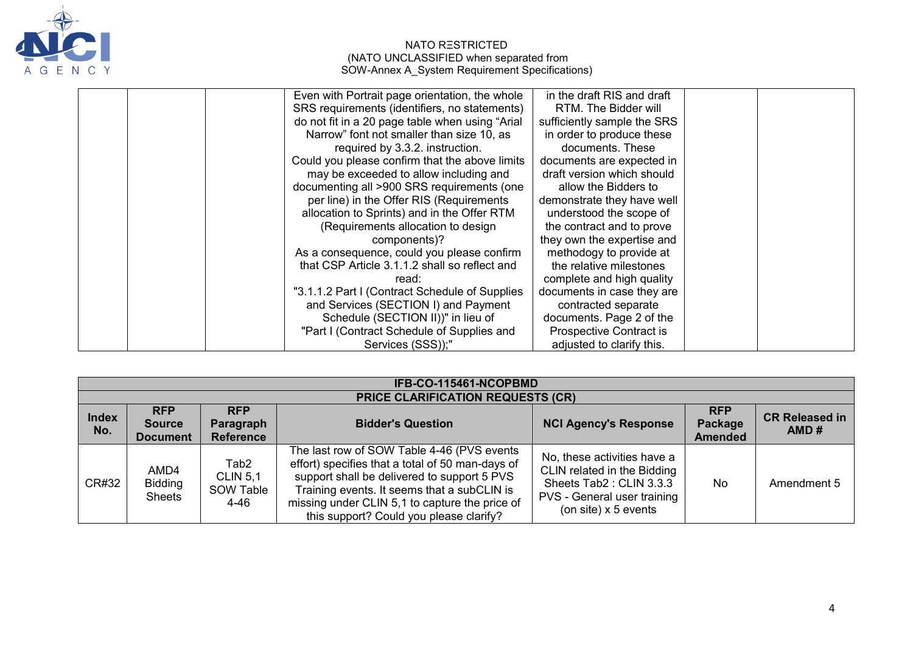

| Even with Portrait page orientation, the whole  | in the draft RIS and draft  |  |
|-------------------------------------------------|-----------------------------|--|
| SRS requirements (identifiers, no statements)   | RTM. The Bidder will        |  |
| do not fit in a 20 page table when using "Arial | sufficiently sample the SRS |  |
| Narrow" font not smaller than size 10, as       | in order to produce these   |  |
| required by 3.3.2. instruction.                 | documents. These            |  |
| Could you please confirm that the above limits  | documents are expected in   |  |
| may be exceeded to allow including and          | draft version which should  |  |
| documenting all >900 SRS requirements (one      | allow the Bidders to        |  |
| per line) in the Offer RIS (Requirements        | demonstrate they have well  |  |
| allocation to Sprints) and in the Offer RTM     | understood the scope of     |  |
| (Requirements allocation to design              | the contract and to prove   |  |
| components)?                                    | they own the expertise and  |  |
| As a consequence, could you please confirm      | methodogy to provide at     |  |
| that CSP Article 3.1.1.2 shall so reflect and   | the relative milestones     |  |
| read:                                           | complete and high quality   |  |
| "3.1.1.2 Part I (Contract Schedule of Supplies  | documents in case they are  |  |
| and Services (SECTION I) and Payment            | contracted separate         |  |
| Schedule (SECTION II))" in lieu of              | documents. Page 2 of the    |  |
| "Part I (Contract Schedule of Supplies and      | Prospective Contract is     |  |
| Services (SSS));"                               | adjusted to clarify this.   |  |

| IFB-CO-115461-NCOPBMD |                                                |                                                          |                                                                                                                                                                                                                                                                                           |                                                                                                                                              |                                         |                               |  |  |
|-----------------------|------------------------------------------------|----------------------------------------------------------|-------------------------------------------------------------------------------------------------------------------------------------------------------------------------------------------------------------------------------------------------------------------------------------------|----------------------------------------------------------------------------------------------------------------------------------------------|-----------------------------------------|-------------------------------|--|--|
|                       | <b>PRICE CLARIFICATION REQUESTS (CR)</b>       |                                                          |                                                                                                                                                                                                                                                                                           |                                                                                                                                              |                                         |                               |  |  |
| <b>Index</b><br>No.   | <b>RFP</b><br><b>Source</b><br><b>Document</b> | <b>RFP</b><br>Paragraph<br><b>Reference</b>              | <b>Bidder's Question</b>                                                                                                                                                                                                                                                                  | <b>NCI Agency's Response</b>                                                                                                                 | <b>RFP</b><br>Package<br><b>Amended</b> | <b>CR Released in</b><br>AMD# |  |  |
| CR#32                 | AMD4<br><b>Bidding</b><br><b>Sheets</b>        | Tab <sub>2</sub><br><b>CLIN 5.1</b><br>SOW Table<br>4-46 | The last row of SOW Table 4-46 (PVS events<br>effort) specifies that a total of 50 man-days of<br>support shall be delivered to support 5 PVS<br>Training events. It seems that a subCLIN is<br>missing under CLIN 5,1 to capture the price of<br>this support? Could you please clarify? | No, these activities have a<br>CLIN related in the Bidding<br>Sheets Tab2: CLIN 3.3.3<br>PVS - General user training<br>(on site) x 5 events | No                                      | Amendment 5                   |  |  |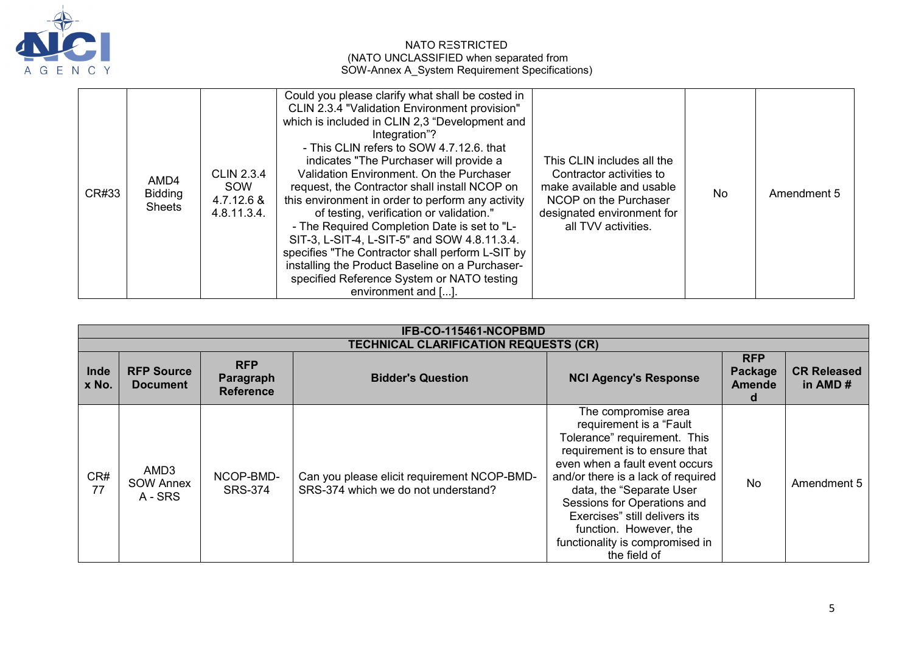

| CR#33 | AMD4<br><b>Bidding</b><br><b>Sheets</b> | <b>CLIN 2.3.4</b><br>SOW<br>4.7.12.6 &<br>4.8.11.3.4. | Could you please clarify what shall be costed in<br>CLIN 2.3.4 "Validation Environment provision"<br>which is included in CLIN 2,3 "Development and<br>Integration"?<br>- This CLIN refers to SOW 4.7.12.6. that<br>indicates "The Purchaser will provide a<br>Validation Environment. On the Purchaser<br>request, the Contractor shall install NCOP on<br>this environment in order to perform any activity<br>of testing, verification or validation."<br>- The Required Completion Date is set to "L-<br>SIT-3, L-SIT-4, L-SIT-5" and SOW 4.8.11.3.4.<br>specifies "The Contractor shall perform L-SIT by<br>installing the Product Baseline on a Purchaser-<br>specified Reference System or NATO testing<br>environment and []. | This CLIN includes all the<br>Contractor activities to<br>make available and usable<br>NCOP on the Purchaser<br>designated environment for<br>all TVV activities. | No | Amendment 5 |
|-------|-----------------------------------------|-------------------------------------------------------|---------------------------------------------------------------------------------------------------------------------------------------------------------------------------------------------------------------------------------------------------------------------------------------------------------------------------------------------------------------------------------------------------------------------------------------------------------------------------------------------------------------------------------------------------------------------------------------------------------------------------------------------------------------------------------------------------------------------------------------|-------------------------------------------------------------------------------------------------------------------------------------------------------------------|----|-------------|
|-------|-----------------------------------------|-------------------------------------------------------|---------------------------------------------------------------------------------------------------------------------------------------------------------------------------------------------------------------------------------------------------------------------------------------------------------------------------------------------------------------------------------------------------------------------------------------------------------------------------------------------------------------------------------------------------------------------------------------------------------------------------------------------------------------------------------------------------------------------------------------|-------------------------------------------------------------------------------------------------------------------------------------------------------------------|----|-------------|

|               | IFB-CO-115461-NCOPBMD                        |                                             |                                                                                    |                                                                                                                                                                                                                                                                                                                                                                  |                                      |                               |  |  |
|---------------|----------------------------------------------|---------------------------------------------|------------------------------------------------------------------------------------|------------------------------------------------------------------------------------------------------------------------------------------------------------------------------------------------------------------------------------------------------------------------------------------------------------------------------------------------------------------|--------------------------------------|-------------------------------|--|--|
|               | <b>TECHNICAL CLARIFICATION REQUESTS (CR)</b> |                                             |                                                                                    |                                                                                                                                                                                                                                                                                                                                                                  |                                      |                               |  |  |
| Inde<br>x No. | <b>RFP Source</b><br><b>Document</b>         | <b>RFP</b><br>Paragraph<br><b>Reference</b> | <b>Bidder's Question</b>                                                           | <b>NCI Agency's Response</b>                                                                                                                                                                                                                                                                                                                                     | <b>RFP</b><br>Package<br>Amende<br>d | <b>CR Released</b><br>in AMD# |  |  |
| CR#<br>77     | AMD3<br><b>SOW Annex</b><br>A - SRS          | NCOP-BMD-<br><b>SRS-374</b>                 | Can you please elicit requirement NCOP-BMD-<br>SRS-374 which we do not understand? | The compromise area<br>requirement is a "Fault<br>Tolerance" requirement. This<br>requirement is to ensure that<br>even when a fault event occurs<br>and/or there is a lack of required<br>data, the "Separate User<br>Sessions for Operations and<br>Exercises" still delivers its<br>function. However, the<br>functionality is compromised in<br>the field of | <b>No</b>                            | Amendment 5                   |  |  |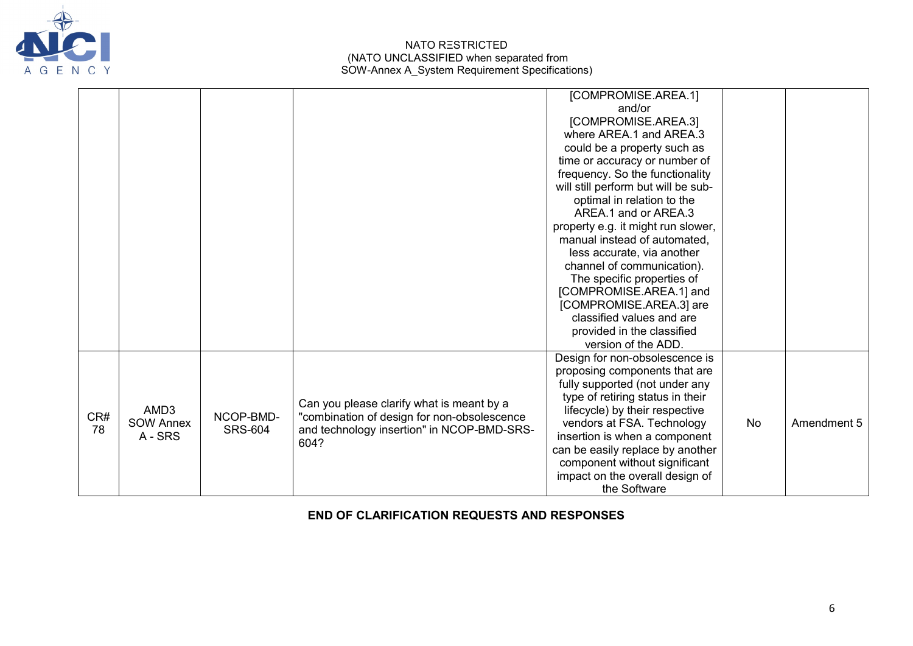

|           |                                     |                             |                                                                                                                                                | [COMPROMISE.AREA.1]<br>and/or<br>[COMPROMISE.AREA.3]<br>where AREA.1 and AREA.3<br>could be a property such as<br>time or accuracy or number of<br>frequency. So the functionality<br>will still perform but will be sub-                                                                                                                                      |           |             |
|-----------|-------------------------------------|-----------------------------|------------------------------------------------------------------------------------------------------------------------------------------------|----------------------------------------------------------------------------------------------------------------------------------------------------------------------------------------------------------------------------------------------------------------------------------------------------------------------------------------------------------------|-----------|-------------|
|           |                                     |                             |                                                                                                                                                | optimal in relation to the<br>AREA.1 and or AREA.3<br>property e.g. it might run slower,<br>manual instead of automated,<br>less accurate, via another<br>channel of communication).<br>The specific properties of<br>[COMPROMISE.AREA.1] and<br>[COMPROMISE.AREA.3] are                                                                                       |           |             |
|           |                                     |                             |                                                                                                                                                | classified values and are<br>provided in the classified<br>version of the ADD.                                                                                                                                                                                                                                                                                 |           |             |
| CR#<br>78 | AMD3<br><b>SOW Annex</b><br>A - SRS | NCOP-BMD-<br><b>SRS-604</b> | Can you please clarify what is meant by a<br>"combination of design for non-obsolescence<br>and technology insertion" in NCOP-BMD-SRS-<br>604? | Design for non-obsolescence is<br>proposing components that are<br>fully supported (not under any<br>type of retiring status in their<br>lifecycle) by their respective<br>vendors at FSA. Technology<br>insertion is when a component<br>can be easily replace by another<br>component without significant<br>impact on the overall design of<br>the Software | <b>No</b> | Amendment 5 |

**END OF CLARIFICATION REQUESTS AND RESPONSES**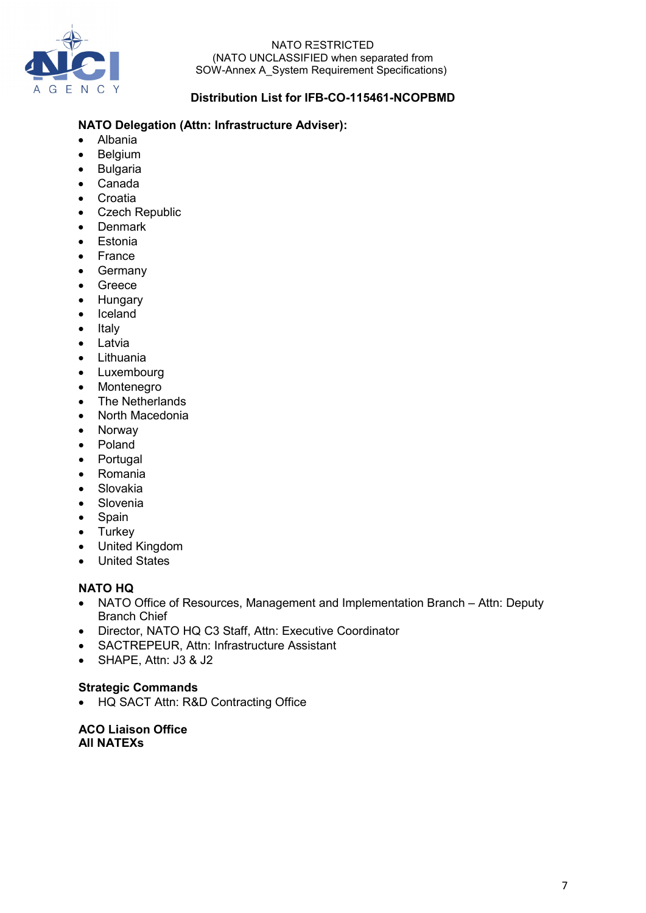

# **Distribution List for IFB-CO-115461-NCOPBMD**

# **NATO Delegation (Attn: Infrastructure Adviser):**

- Albania
- Belgium
- Bulgaria
- Canada
- Croatia
- Czech Republic
- Denmark
- Estonia
- France
- Germany
- Greece
- Hungary
- Iceland
- Italy
- Latvia
- Lithuania
- Luxembourg
- Montenegro
- The Netherlands
- North Macedonia
- Norway
- Poland
- Portugal
- Romania
- Slovakia
- Slovenia
- Spain
- Turkey
- United Kingdom
- United States

### **NATO HQ**

- NATO Office of Resources, Management and Implementation Branch Attn: Deputy Branch Chief
- Director, NATO HQ C3 Staff, Attn: Executive Coordinator
- SACTREPEUR, Attn: Infrastructure Assistant
- SHAPE, Attn: J3 & J2

#### **Strategic Commands**

• HQ SACT Attn: R&D Contracting Office

**ACO Liaison Office All NATEXs**